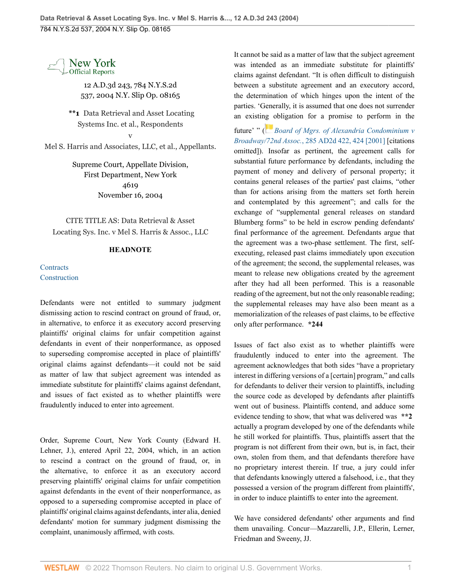

12 A.D.3d 243, 784 N.Y.S.2d 537, 2004 N.Y. Slip Op. 08165

**\*\*1** Data Retrieval and Asset Locating Systems Inc. et al., Respondents v

Mel S. Harris and Associates, LLC, et al., Appellants.

Supreme Court, Appellate Division, First Department, New York 4619 November 16, 2004

CITE TITLE AS: Data Retrieval & Asset Locating Sys. Inc. v Mel S. Harris & Assoc., LLC

## **HEADNOTE**

**[Contracts](http://www.westlaw.com/Browse/Home/NYOKeyNumber/NY00000001214/View.html?docGuid=I5ba517d0da0811d9a489ee624f1f6e1a&contentType=nyoDigest2and3&originationContext=document&transitionType=Document&vr=3.0&rs=cblt1.0&contextData=(sc.Search))** [Construction](http://www.westlaw.com/Browse/Home/NYOKeyNumber/NY00000001215/View.html?docGuid=I5ba517d0da0811d9a489ee624f1f6e1a&contentType=nyoDigest2and3&originationContext=document&transitionType=Document&vr=3.0&rs=cblt1.0&contextData=(sc.Search))

Defendants were not entitled to summary judgment dismissing action to rescind contract on ground of fraud, or, in alternative, to enforce it as executory accord preserving plaintiffs' original claims for unfair competition against defendants in event of their nonperformance, as opposed to superseding compromise accepted in place of plaintiffs' original claims against defendants—it could not be said as matter of law that subject agreement was intended as immediate substitute for plaintiffs' claims against defendant, and issues of fact existed as to whether plaintiffs were fraudulently induced to enter into agreement.

Order, Supreme Court, New York County (Edward H. Lehner, J.), entered April 22, 2004, which, in an action to rescind a contract on the ground of fraud, or, in the alternative, to enforce it as an executory accord preserving plaintiffs' original claims for unfair competition against defendants in the event of their nonperformance, as opposed to a superseding compromise accepted in place of plaintiffs' original claims against defendants, inter alia, denied defendants' motion for summary judgment dismissing the complaint, unanimously affirmed, with costs.

It cannot be said as a matter of law that the subject agreement was intended as an immediate substitute for plaintiffs' claims against defendant. "It is often difficult to distinguish between a substitute agreement and an executory accord, the determination of which hinges upon the intent of the parties. 'Generally, it is assumed that one does not surrender an existi[ng o](https://1.next.westlaw.com/Link/RelatedInformation/Flag?documentGuid=Id1ec5271d97f11d99439b076ef9ec4de&transitionType=InlineKeyCiteFlags&originationContext=docHeaderFlag&Rank=0&ppcid=d572b04d17fd40c2bd08c51bddd34a02&contextData=(sc.Search) )bligation for a promise to perform in the

future' " ( *[Board of Mgrs. of Alexandria Condominium v](http://www.westlaw.com/Link/Document/FullText?findType=Y&pubNum=0000155&cite=285APPDIV2D422&originatingDoc=I5ba517d0da0811d9a489ee624f1f6e1a&refType=RP&fi=co_pp_sp_155_424&originationContext=document&vr=3.0&rs=cblt1.0&transitionType=DocumentItem&contextData=(sc.Search)#co_pp_sp_155_424) Broadway/72nd Assoc.*[, 285 AD2d 422, 424 \[2001\]](http://www.westlaw.com/Link/Document/FullText?findType=Y&pubNum=0000155&cite=285APPDIV2D422&originatingDoc=I5ba517d0da0811d9a489ee624f1f6e1a&refType=RP&fi=co_pp_sp_155_424&originationContext=document&vr=3.0&rs=cblt1.0&transitionType=DocumentItem&contextData=(sc.Search)#co_pp_sp_155_424) [citations omitted]). Insofar as pertinent, the agreement calls for substantial future performance by defendants, including the payment of money and delivery of personal property; it contains general releases of the parties' past claims, "other than for actions arising from the matters set forth herein and contemplated by this agreement"; and calls for the exchange of "supplemental general releases on standard Blumberg forms" to be held in escrow pending defendants' final performance of the agreement. Defendants argue that the agreement was a two-phase settlement. The first, selfexecuting, released past claims immediately upon execution of the agreement; the second, the supplemental releases, was meant to release new obligations created by the agreement after they had all been performed. This is a reasonable reading of the agreement, but not the only reasonable reading; the supplemental releases may have also been meant as a memorialization of the releases of past claims, to be effective only after performance. **\*244**

Issues of fact also exist as to whether plaintiffs were fraudulently induced to enter into the agreement. The agreement acknowledges that both sides "have a proprietary interest in differing versions of a [certain] program," and calls for defendants to deliver their version to plaintiffs, including the source code as developed by defendants after plaintiffs went out of business. Plaintiffs contend, and adduce some evidence tending to show, that what was delivered was **\*\*2** actually a program developed by one of the defendants while he still worked for plaintiffs. Thus, plaintiffs assert that the program is not different from their own, but is, in fact, their own, stolen from them, and that defendants therefore have no proprietary interest therein. If true, a jury could infer that defendants knowingly uttered a falsehood, i.e., that they possessed a version of the program different from plaintiffs', in order to induce plaintiffs to enter into the agreement.

We have considered defendants' other arguments and find them unavailing. Concur—Mazzarelli, J.P., Ellerin, Lerner, Friedman and Sweeny, JJ.